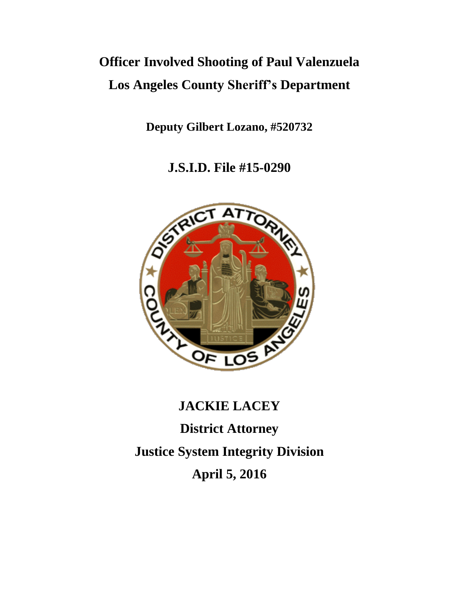## **Officer Involved Shooting of Paul Valenzuela Los Angeles County Sheriff's Department**

**Deputy Gilbert Lozano, #520732** 

**J.S.I.D. File #15-0290**



# **JACKIE LACEY District Attorney Justice System Integrity Division April 5, 2016**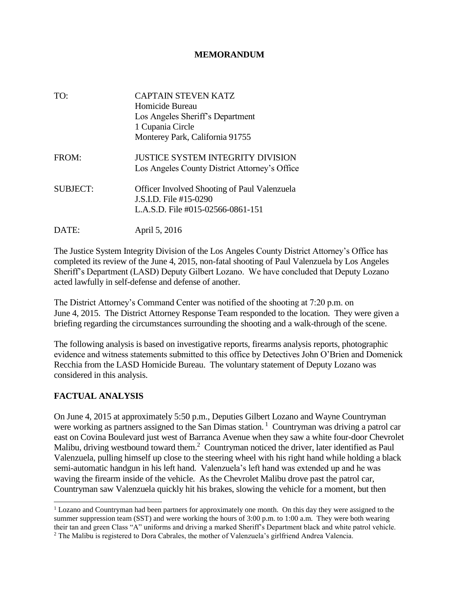## **MEMORANDUM**

| TO:             | <b>CAPTAIN STEVEN KATZ</b><br>Homicide Bureau<br>Los Angeles Sheriff's Department<br>1 Cupania Circle<br>Monterey Park, California 91755 |
|-----------------|------------------------------------------------------------------------------------------------------------------------------------------|
| FROM:           | JUSTICE SYSTEM INTEGRITY DIVISION<br>Los Angeles County District Attorney's Office                                                       |
| <b>SUBJECT:</b> | <b>Officer Involved Shooting of Paul Valenzuela</b><br>J.S.I.D. File #15-0290<br>L.A.S.D. File #015-02566-0861-151                       |
|                 | April 5, 2016                                                                                                                            |

The Justice System Integrity Division of the Los Angeles County District Attorney's Office has completed its review of the June 4, 2015, non-fatal shooting of Paul Valenzuela by Los Angeles Sheriff's Department (LASD) Deputy Gilbert Lozano. We have concluded that Deputy Lozano acted lawfully in self-defense and defense of another.

The District Attorney's Command Center was notified of the shooting at 7:20 p.m. on June 4, 2015. The District Attorney Response Team responded to the location. They were given a briefing regarding the circumstances surrounding the shooting and a walk-through of the scene.

The following analysis is based on investigative reports, firearms analysis reports, photographic evidence and witness statements submitted to this office by Detectives John O'Brien and Domenick Recchia from the LASD Homicide Bureau. The voluntary statement of Deputy Lozano was considered in this analysis.

## **FACTUAL ANALYSIS**

 $\overline{a}$ 

On June 4, 2015 at approximately 5:50 p.m., Deputies Gilbert Lozano and Wayne Countryman were working as partners assigned to the San Dimas station.<sup>1</sup> Countryman was driving a patrol car east on Covina Boulevard just west of Barranca Avenue when they saw a white four-door Chevrolet Malibu, driving westbound toward them.<sup>2</sup> Countryman noticed the driver, later identified as Paul Valenzuela, pulling himself up close to the steering wheel with his right hand while holding a black semi-automatic handgun in his left hand. Valenzuela's left hand was extended up and he was waving the firearm inside of the vehicle. As the Chevrolet Malibu drove past the patrol car, Countryman saw Valenzuela quickly hit his brakes, slowing the vehicle for a moment, but then

<sup>&</sup>lt;sup>1</sup> Lozano and Countryman had been partners for approximately one month. On this day they were assigned to the summer suppression team (SST) and were working the hours of 3:00 p.m. to 1:00 a.m. They were both wearing their tan and green Class "A" uniforms and driving a marked Sheriff's Department black and white patrol vehicle.

<sup>2</sup> The Malibu is registered to Dora Cabrales, the mother of Valenzuela's girlfriend Andrea Valencia.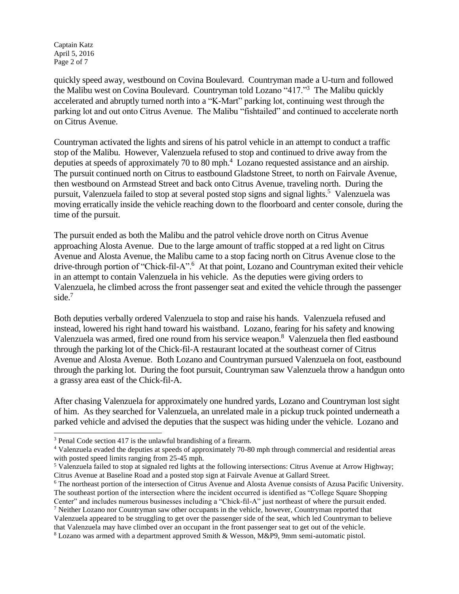Captain Katz April 5, 2016 Page 2 of 7

 $\overline{a}$ 

quickly speed away, westbound on Covina Boulevard. Countryman made a U-turn and followed the Malibu west on Covina Boulevard. Countryman told Lozano "417."<sup>3</sup> The Malibu quickly accelerated and abruptly turned north into a "K-Mart" parking lot, continuing west through the parking lot and out onto Citrus Avenue. The Malibu "fishtailed" and continued to accelerate north on Citrus Avenue.

Countryman activated the lights and sirens of his patrol vehicle in an attempt to conduct a traffic stop of the Malibu. However, Valenzuela refused to stop and continued to drive away from the deputies at speeds of approximately 70 to 80 mph.<sup>4</sup> Lozano requested assistance and an airship. The pursuit continued north on Citrus to eastbound Gladstone Street, to north on Fairvale Avenue, then westbound on Armstead Street and back onto Citrus Avenue, traveling north. During the pursuit, Valenzuela failed to stop at several posted stop signs and signal lights.<sup>5</sup> Valenzuela was moving erratically inside the vehicle reaching down to the floorboard and center console, during the time of the pursuit.

The pursuit ended as both the Malibu and the patrol vehicle drove north on Citrus Avenue approaching Alosta Avenue. Due to the large amount of traffic stopped at a red light on Citrus Avenue and Alosta Avenue, the Malibu came to a stop facing north on Citrus Avenue close to the drive-through portion of "Chick-fil-A".<sup>6</sup> At that point, Lozano and Countryman exited their vehicle in an attempt to contain Valenzuela in his vehicle. As the deputies were giving orders to Valenzuela, he climbed across the front passenger seat and exited the vehicle through the passenger side.<sup>7</sup>

Both deputies verbally ordered Valenzuela to stop and raise his hands. Valenzuela refused and instead, lowered his right hand toward his waistband. Lozano, fearing for his safety and knowing Valenzuela was armed, fired one round from his service weapon.<sup>8</sup> Valenzuela then fled eastbound through the parking lot of the Chick-fil-A restaurant located at the southeast corner of Citrus Avenue and Alosta Avenue. Both Lozano and Countryman pursued Valenzuela on foot, eastbound through the parking lot. During the foot pursuit, Countryman saw Valenzuela throw a handgun onto a grassy area east of the Chick-fil-A.

After chasing Valenzuela for approximately one hundred yards, Lozano and Countryman lost sight of him. As they searched for Valenzuela, an unrelated male in a pickup truck pointed underneath a parked vehicle and advised the deputies that the suspect was hiding under the vehicle. Lozano and

<sup>3</sup> Penal Code section 417 is the unlawful brandishing of a firearm.

<sup>4</sup> Valenzuela evaded the deputies at speeds of approximately 70-80 mph through commercial and residential areas with posted speed limits ranging from 25-45 mph.

<sup>&</sup>lt;sup>5</sup> Valenzuela failed to stop at signaled red lights at the following intersections: Citrus Avenue at Arrow Highway; Citrus Avenue at Baseline Road and a posted stop sign at Fairvale Avenue at Gallard Street.

<sup>6</sup> The northeast portion of the intersection of Citrus Avenue and Alosta Avenue consists of Azusa Pacific University. The southeast portion of the intersection where the incident occurred is identified as "College Square Shopping

Center" and includes numerous businesses including a "Chick-fil-A" just northeast of where the pursuit ended. <sup>7</sup> Neither Lozano nor Countryman saw other occupants in the vehicle, however, Countryman reported that

Valenzuela appeared to be struggling to get over the passenger side of the seat, which led Countryman to believe that Valenzuela may have climbed over an occupant in the front passenger seat to get out of the vehicle.

<sup>8</sup> Lozano was armed with a department approved Smith & Wesson, M&P9, 9mm semi-automatic pistol.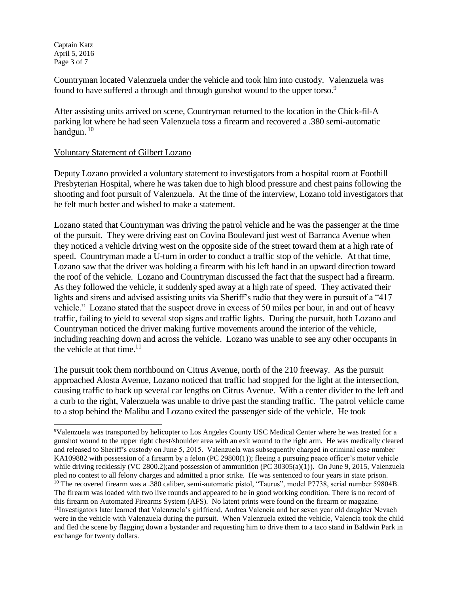Captain Katz April 5, 2016 Page 3 of 7

l

Countryman located Valenzuela under the vehicle and took him into custody. Valenzuela was found to have suffered a through and through gunshot wound to the upper torso.<sup>9</sup>

After assisting units arrived on scene, Countryman returned to the location in the Chick-fil-A parking lot where he had seen Valenzuela toss a firearm and recovered a .380 semi-automatic handgun.  $10$ 

### Voluntary Statement of Gilbert Lozano

Deputy Lozano provided a voluntary statement to investigators from a hospital room at Foothill Presbyterian Hospital, where he was taken due to high blood pressure and chest pains following the shooting and foot pursuit of Valenzuela. At the time of the interview, Lozano told investigators that he felt much better and wished to make a statement.

Lozano stated that Countryman was driving the patrol vehicle and he was the passenger at the time of the pursuit. They were driving east on Covina Boulevard just west of Barranca Avenue when they noticed a vehicle driving west on the opposite side of the street toward them at a high rate of speed. Countryman made a U-turn in order to conduct a traffic stop of the vehicle. At that time, Lozano saw that the driver was holding a firearm with his left hand in an upward direction toward the roof of the vehicle. Lozano and Countryman discussed the fact that the suspect had a firearm. As they followed the vehicle, it suddenly sped away at a high rate of speed. They activated their lights and sirens and advised assisting units via Sheriff's radio that they were in pursuit of a "417 vehicle." Lozano stated that the suspect drove in excess of 50 miles per hour, in and out of heavy traffic, failing to yield to several stop signs and traffic lights. During the pursuit, both Lozano and Countryman noticed the driver making furtive movements around the interior of the vehicle, including reaching down and across the vehicle. Lozano was unable to see any other occupants in the vehicle at that time. $11$ 

The pursuit took them northbound on Citrus Avenue, north of the 210 freeway. As the pursuit approached Alosta Avenue, Lozano noticed that traffic had stopped for the light at the intersection, causing traffic to back up several car lengths on Citrus Avenue. With a center divider to the left and a curb to the right, Valenzuela was unable to drive past the standing traffic. The patrol vehicle came to a stop behind the Malibu and Lozano exited the passenger side of the vehicle. He took

<sup>9</sup>Valenzuela was transported by helicopter to Los Angeles County USC Medical Center where he was treated for a gunshot wound to the upper right chest/shoulder area with an exit wound to the right arm. He was medically cleared and released to Sheriff's custody on June 5, 2015. Valenzuela was subsequently charged in criminal case number KA109882 with possession of a firearm by a felon (PC 29800(1)); fleeing a pursuing peace officer's motor vehicle while driving recklessly (VC 2800.2);and possession of ammunition (PC 30305(a)(1)). On June 9, 2015, Valenzuela pled no contest to all felony charges and admitted a prior strike. He was sentenced to four years in state prison. <sup>10</sup> The recovered firearm was a .380 caliber, semi-automatic pistol, "Taurus", model P7738, serial number 59804B. The firearm was loaded with two live rounds and appeared to be in good working condition. There is no record of this firearm on Automated Firearms System (AFS). No latent prints were found on the firearm or magazine. <sup>11</sup>Investigators later learned that Valenzuela's girlfriend, Andrea Valencia and her seven year old daughter Nevaeh were in the vehicle with Valenzuela during the pursuit. When Valenzuela exited the vehicle, Valencia took the child and fled the scene by flagging down a bystander and requesting him to drive them to a taco stand in Baldwin Park in exchange for twenty dollars.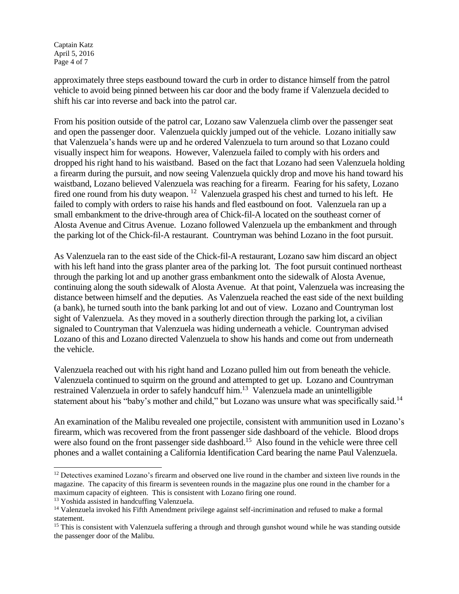Captain Katz April 5, 2016 Page 4 of 7

approximately three steps eastbound toward the curb in order to distance himself from the patrol vehicle to avoid being pinned between his car door and the body frame if Valenzuela decided to shift his car into reverse and back into the patrol car.

From his position outside of the patrol car, Lozano saw Valenzuela climb over the passenger seat and open the passenger door. Valenzuela quickly jumped out of the vehicle. Lozano initially saw that Valenzuela's hands were up and he ordered Valenzuela to turn around so that Lozano could visually inspect him for weapons. However, Valenzuela failed to comply with his orders and dropped his right hand to his waistband. Based on the fact that Lozano had seen Valenzuela holding a firearm during the pursuit, and now seeing Valenzuela quickly drop and move his hand toward his waistband, Lozano believed Valenzuela was reaching for a firearm. Fearing for his safety, Lozano fired one round from his duty weapon.<sup>12</sup> Valenzuela grasped his chest and turned to his left. He failed to comply with orders to raise his hands and fled eastbound on foot. Valenzuela ran up a small embankment to the drive-through area of Chick-fil-A located on the southeast corner of Alosta Avenue and Citrus Avenue. Lozano followed Valenzuela up the embankment and through the parking lot of the Chick-fil-A restaurant. Countryman was behind Lozano in the foot pursuit.

As Valenzuela ran to the east side of the Chick-fil-A restaurant, Lozano saw him discard an object with his left hand into the grass planter area of the parking lot. The foot pursuit continued northeast through the parking lot and up another grass embankment onto the sidewalk of Alosta Avenue, continuing along the south sidewalk of Alosta Avenue. At that point, Valenzuela was increasing the distance between himself and the deputies. As Valenzuela reached the east side of the next building (a bank), he turned south into the bank parking lot and out of view. Lozano and Countryman lost sight of Valenzuela. As they moved in a southerly direction through the parking lot, a civilian signaled to Countryman that Valenzuela was hiding underneath a vehicle. Countryman advised Lozano of this and Lozano directed Valenzuela to show his hands and come out from underneath the vehicle.

Valenzuela reached out with his right hand and Lozano pulled him out from beneath the vehicle. Valenzuela continued to squirm on the ground and attempted to get up. Lozano and Countryman restrained Valenzuela in order to safely handcuff him.<sup>13</sup> Valenzuela made an unintelligible statement about his "baby's mother and child," but Lozano was unsure what was specifically said.<sup>14</sup>

An examination of the Malibu revealed one projectile, consistent with ammunition used in Lozano's firearm, which was recovered from the front passenger side dashboard of the vehicle. Blood drops were also found on the front passenger side dashboard.<sup>15</sup> Also found in the vehicle were three cell phones and a wallet containing a California Identification Card bearing the name Paul Valenzuela.

 $\overline{a}$ 

 $12$  Detectives examined Lozano's firearm and observed one live round in the chamber and sixteen live rounds in the magazine. The capacity of this firearm is seventeen rounds in the magazine plus one round in the chamber for a maximum capacity of eighteen. This is consistent with Lozano firing one round.

<sup>13</sup> Yoshida assisted in handcuffing Valenzuela.

<sup>&</sup>lt;sup>14</sup> Valenzuela invoked his Fifth Amendment privilege against self-incrimination and refused to make a formal statement.

<sup>&</sup>lt;sup>15</sup> This is consistent with Valenzuela suffering a through and through gunshot wound while he was standing outside the passenger door of the Malibu.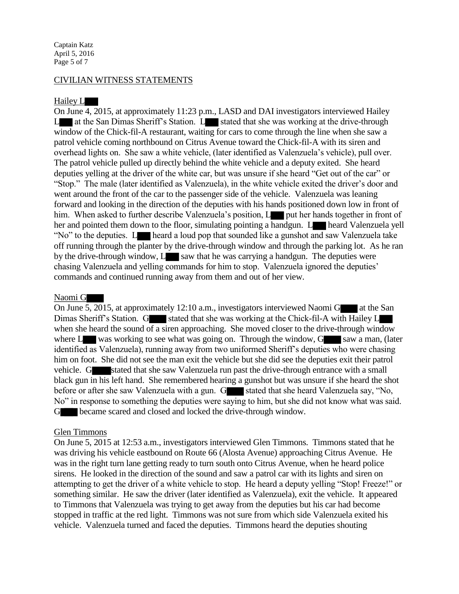Captain Katz April 5, 2016 Page 5 of 7

#### CIVILIAN WITNESS STATEMENTS

#### Hailey L

On June 4, 2015, at approximately 11:23 p.m., LASD and DAI investigators interviewed Hailey  $L$  at the San Dimas Sheriff's Station.  $L$  stated that she was working at the drive-through window of the Chick-fil-A restaurant, waiting for cars to come through the line when she saw a patrol vehicle coming northbound on Citrus Avenue toward the Chick-fil-A with its siren and overhead lights on. She saw a white vehicle, (later identified as Valenzuela's vehicle), pull over. The patrol vehicle pulled up directly behind the white vehicle and a deputy exited. She heard deputies yelling at the driver of the white car, but was unsure if she heard "Get out of the car" or "Stop." The male (later identified as Valenzuela), in the white vehicle exited the driver's door and went around the front of the car to the passenger side of the vehicle. Valenzuela was leaning forward and looking in the direction of the deputies with his hands positioned down low in front of him. When asked to further describe Valenzuela's position, L put her hands together in front of her and pointed them down to the floor, simulating pointing a handgun. L heard Valenzuela yell "No" to the deputies. L heard a loud pop that sounded like a gunshot and saw Valenzuela take off running through the planter by the drive-through window and through the parking lot. As he ran by the drive-through window,  $L_{\alpha}$  saw that he was carrying a handgun. The deputies were chasing Valenzuela and yelling commands for him to stop. Valenzuela ignored the deputies' commands and continued running away from them and out of her view.

#### Naomi G

On June 5, 2015, at approximately 12:10 a.m., investigators interviewed Naomi G at the San Dimas Sheriff's Station. G stated that she was working at the Chick-fil-A with Hailey L when she heard the sound of a siren approaching. She moved closer to the drive-through window where  $L$  was working to see what was going on. Through the window,  $G$  saw a man, (later identified as Valenzuela), running away from two uniformed Sheriff's deputies who were chasing him on foot. She did not see the man exit the vehicle but she did see the deputies exit their patrol vehicle. G stated that she saw Valenzuela run past the drive-through entrance with a small black gun in his left hand. She remembered hearing a gunshot but was unsure if she heard the shot before or after she saw Valenzuela with a gun. G stated that she heard Valenzuela say, "No, No" in response to something the deputies were saying to him, but she did not know what was said. G became scared and closed and locked the drive-through window.

#### Glen Timmons

On June 5, 2015 at 12:53 a.m., investigators interviewed Glen Timmons. Timmons stated that he was driving his vehicle eastbound on Route 66 (Alosta Avenue) approaching Citrus Avenue. He was in the right turn lane getting ready to turn south onto Citrus Avenue, when he heard police sirens. He looked in the direction of the sound and saw a patrol car with its lights and siren on attempting to get the driver of a white vehicle to stop. He heard a deputy yelling "Stop! Freeze!" or something similar. He saw the driver (later identified as Valenzuela), exit the vehicle. It appeared to Timmons that Valenzuela was trying to get away from the deputies but his car had become stopped in traffic at the red light. Timmons was not sure from which side Valenzuela exited his vehicle. Valenzuela turned and faced the deputies. Timmons heard the deputies shouting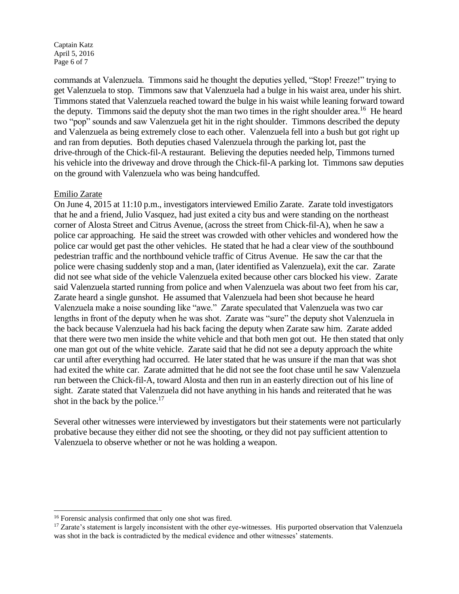Captain Katz April 5, 2016 Page 6 of 7

commands at Valenzuela. Timmons said he thought the deputies yelled, "Stop! Freeze!" trying to get Valenzuela to stop. Timmons saw that Valenzuela had a bulge in his waist area, under his shirt. Timmons stated that Valenzuela reached toward the bulge in his waist while leaning forward toward the deputy. Timmons said the deputy shot the man two times in the right shoulder area.<sup>16</sup> He heard two "pop" sounds and saw Valenzuela get hit in the right shoulder. Timmons described the deputy and Valenzuela as being extremely close to each other. Valenzuela fell into a bush but got right up and ran from deputies. Both deputies chased Valenzuela through the parking lot, past the drive-through of the Chick-fil-A restaurant. Believing the deputies needed help, Timmons turned his vehicle into the driveway and drove through the Chick-fil-A parking lot. Timmons saw deputies on the ground with Valenzuela who was being handcuffed.

#### Emilio Zarate

l

On June 4, 2015 at 11:10 p.m., investigators interviewed Emilio Zarate. Zarate told investigators that he and a friend, Julio Vasquez, had just exited a city bus and were standing on the northeast corner of Alosta Street and Citrus Avenue, (across the street from Chick-fil-A), when he saw a police car approaching. He said the street was crowded with other vehicles and wondered how the police car would get past the other vehicles. He stated that he had a clear view of the southbound pedestrian traffic and the northbound vehicle traffic of Citrus Avenue. He saw the car that the police were chasing suddenly stop and a man, (later identified as Valenzuela), exit the car. Zarate did not see what side of the vehicle Valenzuela exited because other cars blocked his view. Zarate said Valenzuela started running from police and when Valenzuela was about two feet from his car, Zarate heard a single gunshot. He assumed that Valenzuela had been shot because he heard Valenzuela make a noise sounding like "awe." Zarate speculated that Valenzuela was two car lengths in front of the deputy when he was shot. Zarate was "sure" the deputy shot Valenzuela in the back because Valenzuela had his back facing the deputy when Zarate saw him. Zarate added that there were two men inside the white vehicle and that both men got out. He then stated that only one man got out of the white vehicle. Zarate said that he did not see a deputy approach the white car until after everything had occurred. He later stated that he was unsure if the man that was shot had exited the white car. Zarate admitted that he did not see the foot chase until he saw Valenzuela run between the Chick-fil-A, toward Alosta and then run in an easterly direction out of his line of sight. Zarate stated that Valenzuela did not have anything in his hands and reiterated that he was shot in the back by the police.<sup>17</sup>

Several other witnesses were interviewed by investigators but their statements were not particularly probative because they either did not see the shooting, or they did not pay sufficient attention to Valenzuela to observe whether or not he was holding a weapon.

<sup>16</sup> Forensic analysis confirmed that only one shot was fired.

 $17$  Zarate's statement is largely inconsistent with the other eye-witnesses. His purported observation that Valenzuela was shot in the back is contradicted by the medical evidence and other witnesses' statements.